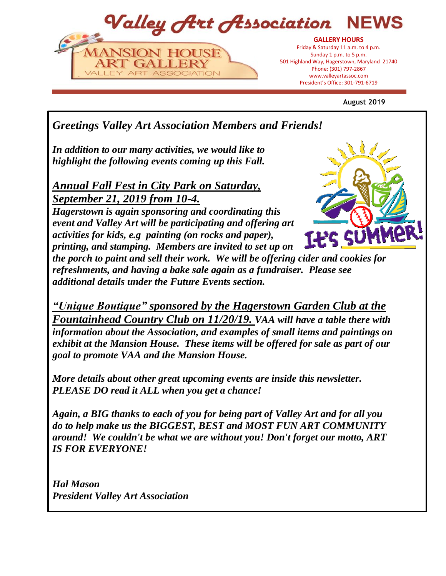Valley Art Association **GALLERY HOURS**

President's Office: 301-797-6719 President's Office: 301-791-6719Friday & Saturday 11 a.m. to 4 p.m. Sunday 1 p.m. to 5 p.m. 501 Highland Way, Hagerstown, Maryland 21740 Phone: (301) 797-2867 www.valleyartassoc.com

**August 2019**

*Greetings Valley Art Association Members and Friends!* 

*In addition to our many activities, we would like to highlight the following events coming up this Fall.*

NSION HOUSE

ART GALLERY VALLEY ART ASSOCIATION

*Annual Fall Fest in City Park on Saturday, September 21, 2019 from 10-4.* 

*Hagerstown is again sponsoring and coordinating this event and Valley Art will be participating and offering art activities for kids, e.g painting (on rocks and paper), printing, and stamping. Members are invited to set up on* 

*the porch to paint and sell their work. We will be offering cider and cookies for refreshments, and having a bake sale again as a fundraiser. Please see additional details under the Future Events section.*

*"Unique Boutique" sponsored by the Hagerstown Garden Club at the Fountainhead Country Club on 11/20/19. VAA will have a table there with information about the Association, and examples of small items and paintings on exhibit at the Mansion House. These items will be offered for sale as part of our goal to promote VAA and the Mansion House.*

*More details about other great upcoming events are inside this newsletter. PLEASE DO read it ALL when you get a chance!* 

*Again, a BIG thanks to each of you for being part of Valley Art and for all you do to help make us the BIGGEST, BEST and MOST FUN ART COMMUNITY around! We couldn't be what we are without you! Don't forget our motto, ART IS FOR EVERYONE!*

*Hal Mason President Valley Art Association*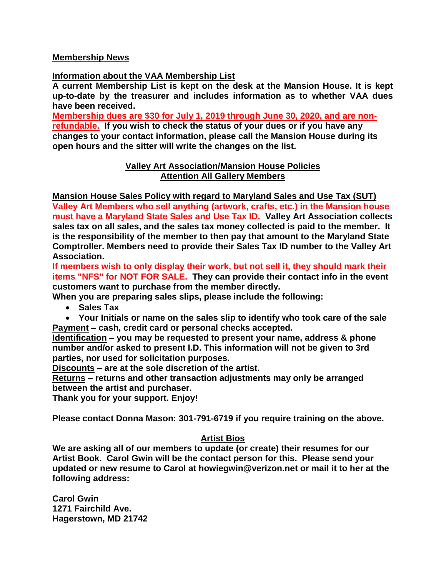# **Membership News**

**Information about the VAA Membership List** 

**A current Membership List is kept on the desk at the Mansion House. It is kept up-to-date by the treasurer and includes information as to whether VAA dues have been received.** 

**Membership dues are \$30 for July 1, 2019 through June 30, 2020, and are nonrefundable. If you wish to check the status of your dues or if you have any changes to your contact information, please call the Mansion House during its open hours and the sitter will write the changes on the list.**

# **Valley Art Association/Mansion House Policies Attention All Gallery Members**

**Mansion House Sales Policy with regard to Maryland Sales and Use Tax (SUT)**

**Valley Art Members who sell anything (artwork, crafts, etc.) in the Mansion house must have a Maryland State Sales and Use Tax ID. Valley Art Association collects sales tax on all sales, and the sales tax money collected is paid to the member. It is the responsibility of the member to then pay that amount to the Maryland State Comptroller. Members need to provide their Sales Tax ID number to the Valley Art Association.** 

**If members wish to only display their work, but not sell it, they should mark their items "NFS" for NOT FOR SALE. They can provide their contact info in the event customers want to purchase from the member directly.** 

**When you are preparing sales slips, please include the following:**

- **Sales Tax**
- **Your Initials or name on the sales slip to identify who took care of the sale Payment – cash, credit card or personal checks accepted.**

**Identification – you may be requested to present your name, address & phone number and/or asked to present I.D. This information will not be given to 3rd parties, nor used for solicitation purposes.**

**Discounts – are at the sole discretion of the artist.**

**Returns – returns and other transaction adjustments may only be arranged between the artist and purchaser.**

**Thank you for your support. Enjoy!**

**Please contact Donna Mason: 301-791-6719 if you require training on the above.**

# **Artist Bios**

**We are asking all of our members to update (or create) their resumes for our Artist Book. Carol Gwin will be the contact person for this. Please send your updated or new resume to Carol at howiegwin@verizon.net or mail it to her at the following address:**

**Carol Gwin 1271 Fairchild Ave. Hagerstown, MD 21742**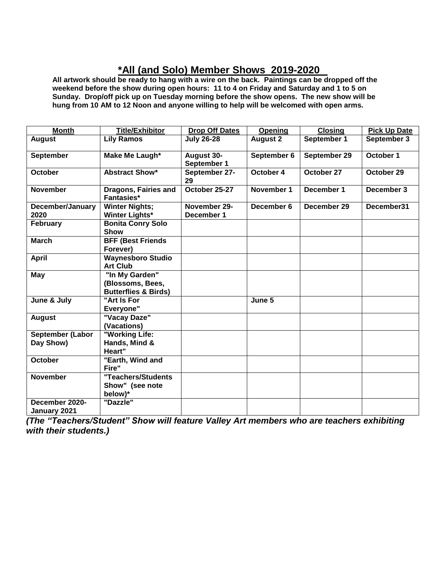# **\*All (and Solo) Member Shows 2019-2020**

**All artwork should be ready to hang with a wire on the back. Paintings can be dropped off the weekend before the show during open hours: 11 to 4 on Friday and Saturday and 1 to 5 on Sunday. Drop/off pick up on Tuesday morning before the show opens. The new show will be hung from 10 AM to 12 Noon and anyone willing to help will be welcomed with open arms.** 

| <b>Month</b>                         | <b>Title/Exhibitor</b>                                                | <b>Drop Off Dates</b>            | Opening         | <b>Closing</b> | <b>Pick Up Date</b> |
|--------------------------------------|-----------------------------------------------------------------------|----------------------------------|-----------------|----------------|---------------------|
| <b>August</b>                        | <b>Lily Ramos</b>                                                     | <b>July 26-28</b>                | <b>August 2</b> | September 1    | September 3         |
| <b>September</b>                     | Make Me Laugh*                                                        | <b>August 30-</b><br>September 1 | September 6     | September 29   | October 1           |
| <b>October</b>                       | <b>Abstract Show*</b>                                                 | September 27-<br>29              | October 4       | October 27     | October 29          |
| <b>November</b>                      | Dragons, Fairies and<br><b>Fantasies*</b>                             | October 25-27                    | November 1      | December 1     | December 3          |
| December/January<br>2020             | <b>Winter Nights;</b><br><b>Winter Lights*</b>                        | November 29-<br>December 1       | December 6      | December 29    | December31          |
| February                             | <b>Bonita Conry Solo</b><br><b>Show</b>                               |                                  |                 |                |                     |
| <b>March</b>                         | <b>BFF (Best Friends)</b><br>Forever)                                 |                                  |                 |                |                     |
| <b>April</b>                         | <b>Waynesboro Studio</b><br><b>Art Club</b>                           |                                  |                 |                |                     |
| <b>May</b>                           | "In My Garden"<br>(Blossoms, Bees,<br><b>Butterflies &amp; Birds)</b> |                                  |                 |                |                     |
| June & July                          | "Art Is For<br>Everyone"                                              |                                  | June 5          |                |                     |
| <b>August</b>                        | "Vacay Daze"<br>(Vacations)                                           |                                  |                 |                |                     |
| <b>September (Labor</b><br>Day Show) | "Working Life:<br>Hands, Mind &<br>Heart"                             |                                  |                 |                |                     |
| October                              | "Earth, Wind and<br>Fire"                                             |                                  |                 |                |                     |
| <b>November</b>                      | "Teachers/Students<br>Show" (see note<br>below)*                      |                                  |                 |                |                     |
| December 2020-<br>January 2021       | "Dazzle"                                                              |                                  |                 |                |                     |

*(The "Teachers/Student" Show will feature Valley Art members who are teachers exhibiting with their students.)*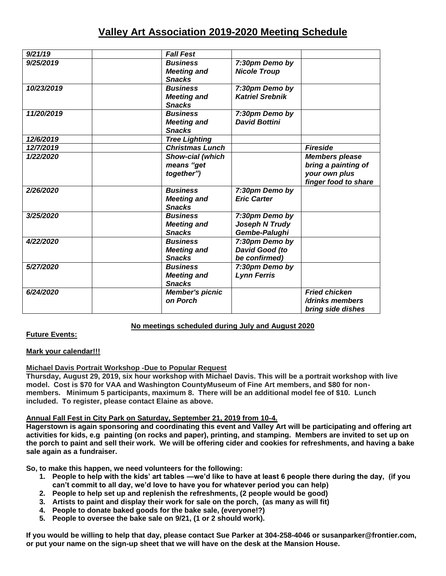# **Valley Art Association 2019-2020 Meeting Schedule**

| 9/21/19    | <b>Fall Fest</b>                                       |                                                   |                                                                                       |
|------------|--------------------------------------------------------|---------------------------------------------------|---------------------------------------------------------------------------------------|
| 9/25/2019  | <b>Business</b><br><b>Meeting and</b><br><b>Snacks</b> | 7:30pm Demo by<br><b>Nicole Troup</b>             |                                                                                       |
| 10/23/2019 | <b>Business</b><br><b>Meeting and</b><br><b>Snacks</b> | 7:30pm Demo by<br><b>Katriel Srebnik</b>          |                                                                                       |
| 11/20/2019 | <b>Business</b><br><b>Meeting and</b><br><b>Snacks</b> | 7:30pm Demo by<br><b>David Bottini</b>            |                                                                                       |
| 12/6/2019  | <b>Tree Lighting</b>                                   |                                                   |                                                                                       |
| 12/7/2019  | <b>Christmas Lunch</b>                                 |                                                   | <b>Fireside</b>                                                                       |
| 1/22/2020  | Show-cial (which<br>means "get<br>together")           |                                                   | <b>Members please</b><br>bring a painting of<br>your own plus<br>finger food to share |
| 2/26/2020  | <b>Business</b><br><b>Meeting and</b><br><b>Snacks</b> | 7:30pm Demo by<br><b>Eric Carter</b>              |                                                                                       |
| 3/25/2020  | <b>Business</b><br><b>Meeting and</b><br><b>Snacks</b> | 7:30pm Demo by<br>Joseph N Trudy<br>Gembe-Palughi |                                                                                       |
| 4/22/2020  | <b>Business</b><br><b>Meeting and</b><br><b>Snacks</b> | 7:30pm Demo by<br>David Good (to<br>be confirmed) |                                                                                       |
| 5/27/2020  | <b>Business</b><br><b>Meeting and</b><br><b>Snacks</b> | 7:30pm Demo by<br><b>Lynn Ferris</b>              |                                                                                       |
| 6/24/2020  | <b>Member's picnic</b><br>on Porch                     |                                                   | <b>Fried chicken</b><br>/drinks members<br>bring side dishes                          |

# **No meetings scheduled during July and August 2020**

# **Future Events:**

# **Mark your calendar!!!**

# **Michael Davis Portrait Workshop -Due to Popular Request**

**Thursday, August 29, 2019, six hour workshop with Michael Davis. This will be a portrait workshop with live model. Cost is \$70 for VAA and Washington CountyMuseum of Fine Art members, and \$80 for nonmembers. Minimum 5 participants, maximum 8. There will be an additional model fee of \$10. Lunch included. To register, please contact Elaine as above.**

# **Annual Fall Fest in City Park on Saturday, September 21, 2019 from 10-4.**

**Hagerstown is again sponsoring and coordinating this event and Valley Art will be participating and offering art activities for kids, e.g painting (on rocks and paper), printing, and stamping. Members are invited to set up on the porch to paint and sell their work. We will be offering cider and cookies for refreshments, and having a bake sale again as a fundraiser.**

**So, to make this happen, we need volunteers for the following:**

- **1. People to help with the kids' art tables —we'd like to have at least 6 people there during the day, (if you can't commit to all day, we'd love to have you for whatever period you can help)**
- **2. People to help set up and replenish the refreshments, (2 people would be good)**
- **3. Artists to paint and display their work for sale on the porch, (as many as will fit)**
- **4. People to donate baked goods for the bake sale, (everyone!?)**
- **5. People to oversee the bake sale on 9/21, (1 or 2 should work).**

**If you would be willing to help that day, please contact Sue Parker at 304-258-4046 or susanparker@frontier.com, or put your name on the sign-up sheet that we will have on the desk at the Mansion House.**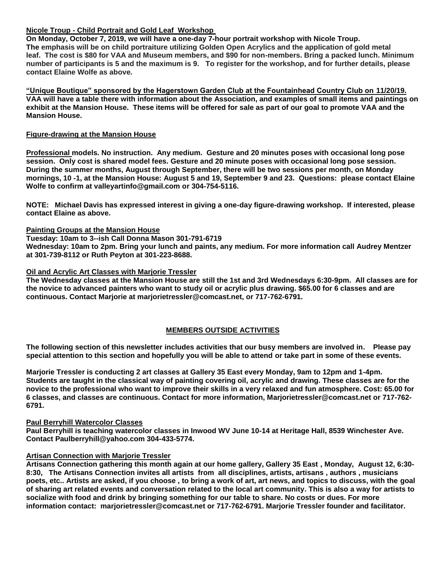## **Nicole Troup - Child Portrait and Gold Leaf Workshop**

**On Monday, October 7, 2019, we will have a one-day 7-hour portrait workshop with Nicole Troup. The emphasis will be on child portraiture utilizing Golden Open Acrylics and the application of gold metal leaf. The cost is \$80 for VAA and Museum members, and \$90 for non-members. Bring a packed lunch. Minimum number of participants is 5 and the maximum is 9. To register for the workshop, and for further details, please contact Elaine Wolfe as above.**

**"Unique Boutique" sponsored by the Hagerstown Garden Club at the Fountainhead Country Club on 11/20/19. VAA will have a table there with information about the Association, and examples of small items and paintings on exhibit at the Mansion House. These items will be offered for sale as part of our goal to promote VAA and the Mansion House.**

#### **Figure-drawing at the Mansion House**

**Professional models. No instruction. Any medium. Gesture and 20 minutes poses with occasional long pose session. Only cost is shared model fees. Gesture and 20 minute poses with occasional long pose session. During the summer months, August through September, there will be two sessions per month, on Monday mornings, 10 -1, at the Mansion House: August 5 and 19, September 9 and 23. Questions: please contact Elaine Wolfe to confirm at valleyartinfo@gmail.com or 304-754-5116.**

**NOTE: Michael Davis has expressed interest in giving a one-day figure-drawing workshop. If interested, please contact Elaine as above.**

### **Painting Groups at the Mansion House**

**Tuesday: 10am to 3--ish Call Donna Mason 301-791-6719**

**Wednesday: 10am to 2pm. Bring your lunch and paints, any medium. For more information call Audrey Mentzer at 301-739-8112 or Ruth Peyton at 301-223-8688.**

#### **Oil and Acrylic Art Classes with Marjorie Tressler**

**The Wednesday classes at the Mansion House are still the 1st and 3rd Wednesdays 6:30-9pm. All classes are for the novice to advanced painters who want to study oil or acrylic plus drawing. \$65.00 for 6 classes and are continuous. Contact Marjorie at marjorietressler@comcast.net, or 717-762-6791.**

# **MEMBERS OUTSIDE ACTIVITIES**

**The following section of this newsletter includes activities that our busy members are involved in. Please pay special attention to this section and hopefully you will be able to attend or take part in some of these events.**

**Marjorie Tressler is conducting 2 art classes at Gallery 35 East every Monday, 9am to 12pm and 1-4pm. Students are taught in the classical way of painting covering oil, acrylic and drawing. These classes are for the novice to the professional who want to improve their skills in a very relaxed and fun atmosphere. Cost: 65.00 for 6 classes, and classes are continuous. Contact for more information, Marjorietressler@comcast.net or 717-762- 6791.** 

#### **Paul Berryhill Watercolor Classes**

**Paul Berryhill is teaching watercolor classes in Inwood WV June 10-14 at Heritage Hall, 8539 Winchester Ave. Contact Paulberryhill@yahoo.com 304-433-5774.**

### **Artisan Connection with Marjorie Tressler**

**Artisans Connection gathering this month again at our home gallery, Gallery 35 East , Monday, August 12, 6:30- 8:30, The Artisans Connection invites all artists from all disciplines, artists, artisans , authors , musicians poets, etc.. Artists are asked, if you choose , to bring a work of art, art news, and topics to discuss, with the goal of sharing art related events and conversation related to the local art community. This is also a way for artists to socialize with food and drink by bringing something for our table to share. No costs or dues. For more information contact: marjorietressler@comcast.net or 717-762-6791. Marjorie Tressler founder and facilitator.**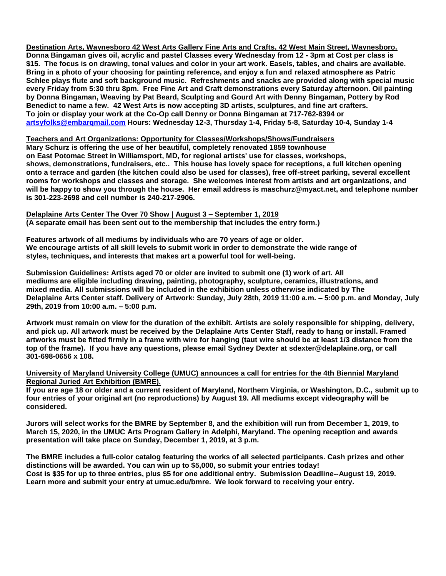**Destination Arts, Waynesboro 42 West Arts Gallery Fine Arts and Crafts, 42 West Main Street, Waynesboro. Donna Bingaman gives oil, acrylic and pastel Classes every Wednesday from 12 - 3pm at Cost per class is \$15. The focus is on drawing, tonal values and color in your art work. Easels, tables, and chairs are available. Bring in a photo of your choosing for painting reference, and enjoy a fun and relaxed atmosphere as Patric Schlee plays flute and soft background music. Refreshments and snacks are provided along with special music every Friday from 5:30 thru 8pm. Free Fine Art and Craft demonstrations every Saturday afternoon. Oil painting by Donna Bingaman, Weaving by Pat Beard, Sculpting and Gourd Art with Denny Bingaman, Pottery by Rod Benedict to name a few. 42 West Arts is now accepting 3D artists, sculptures, and fine art crafters. To join or display your work at the Co-Op call Denny or Donna Bingaman at 717-762-8394 or [artsyfolks@embarqmail.com](mailto:artsyfolks@embarqmail.com) Hours: Wednesday 12-3, Thursday 1-4, Friday 5-8, Saturday 10-4, Sunday 1-4**

#### **Teachers and Art Organizations: Opportunity for Classes/Workshops/Shows/Fundraisers**

**Mary Schurz is offering the use of her beautiful, completely renovated 1859 townhouse on East Potomac Street in Williamsport, MD, for regional artists' use for classes, workshops, shows, demonstrations, fundraisers, etc.. This house has lovely space for receptions, a full kitchen opening onto a terrace and garden (the kitchen could also be used for classes), free off-street parking, several excellent rooms for workshops and classes and storage. She welcomes interest from artists and art organizations, and will be happy to show you through the house. Her email address is maschurz@myact.net, and telephone number is 301-223-2698 and cell number is 240-217-2906.**

**Delaplaine Arts Center The Over 70 Show | August 3 – September 1, 2019 (A separate email has been sent out to the membership that includes the entry form.)**

**Features artwork of all mediums by individuals who are 70 years of age or older. We encourage artists of all skill levels to submit work in order to demonstrate the wide range of styles, techniques, and interests that makes art a powerful tool for well-being.**

**Submission Guidelines: Artists aged 70 or older are invited to submit one (1) work of art. All mediums are eligible including drawing, painting, photography, sculpture, ceramics, illustrations, and mixed media. All submissions will be included in the exhibition unless otherwise indicated by The Delaplaine Arts Center staff. Delivery of Artwork: Sunday, July 28th, 2019 11:00 a.m. – 5:00 p.m. and Monday, July 29th, 2019 from 10:00 a.m. – 5:00 p.m.**

**Artwork must remain on view for the duration of the exhibit. Artists are solely responsible for shipping, delivery, and pick up. All artwork must be received by the Delaplaine Arts Center Staff, ready to hang or install. Framed artworks must be fitted firmly in a frame with wire for hanging (taut wire should be at least 1/3 distance from the top of the frame). If you have any questions, please email Sydney Dexter at sdexter@delaplaine.org, or call 301-698-0656 x 108.**

#### **University of Maryland University College (UMUC) announces a call for entries for the 4th Biennial Maryland Regional Juried Art Exhibition (BMRE).**

**If you are age 18 or older and a current resident of Maryland, Northern Virginia, or Washington, D.C., submit up to four entries of your original art (no reproductions) by August 19. All mediums except videography will be considered.**

**Jurors will select works for the BMRE by September 8, and the exhibition will run from December 1, 2019, to March 15, 2020, in the UMUC Arts Program Gallery in Adelphi, Maryland. The opening reception and awards presentation will take place on Sunday, December 1, 2019, at 3 p.m.**

**The BMRE includes a full-color catalog featuring the works of all selected participants. Cash prizes and other distinctions will be awarded. You can win up to \$5,000, so submit your entries today! Cost is \$35 for up to three entries, plus \$5 for one additional entry. Submission Deadline--August 19, 2019. Learn more and submit your entry at umuc.edu/bmre. We look forward to receiving your entry.**